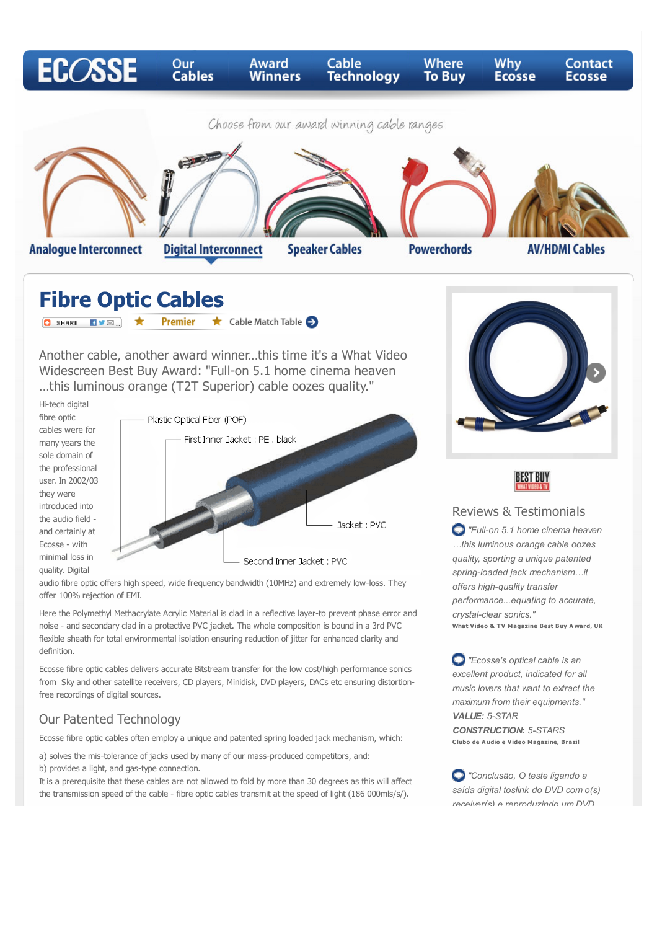

# **Fibre Optic Cables**

**O** SHARE **EVER \* Premier** Cable Match Table

Another cable, another award winner…this time it's a What Video Widescreen Best Buy Award: "Full-on 5.1 home cinema heaven …this luminous orange (T2T Superior) cable oozes quality."

Hi-tech digital fibre optic cables were for many years the sole domain of the professional user. In 2002/03 they were introduced into the audio field and certainly at Ecosse - with minimal loss in quality. Digital



audio fibre optic offers high speed, wide frequency bandwidth (10MHz) and extremely low-loss. They offer 100% rejection of EMI.

Here the Polymethyl Methacrylate Acrylic Material is clad in a reflective layer-to prevent phase error and noise - and secondary clad in a protective PVC jacket. The whole composition is bound in a 3rd PVC flexible sheath for total environmental isolation ensuring reduction of jitter for enhanced clarity and definition.

Ecosse fibre optic cables delivers accurate Bitstream transfer for the low cost/high performance sonics from Sky and other satellite receivers, CD players, Minidisk, DVD players, DACs etc ensuring distortionfree recordings of digital sources.

#### Our Patented Technology

Ecosse fibre optic cables often employ a unique and patented spring loaded jack mechanism, which:

a) solves the mis-tolerance of jacks used by many of our mass-produced competitors, and: b) provides a light, and gas-type connection.

It is a prerequisite that these cables are not allowed to fold by more than 30 degrees as this will affect the transmission speed of the cable - fibre optic cables transmit at the speed of light (186 000mls/s/).





#### Reviews & Testimonials

*"Full-on 5.1 home cinema heaven …this luminous orange cable oozes quality, sporting a unique patented spring-loaded jack mechanism…it offers high-quality transfer performance...equating to accurate, crystal-clear sonics."* **What Video & T V Magazine Best Buy A ward, UK**

*"Ecosse's optical cable is an excellent product, indicated for all music lovers that want to extract the maximum from their equipments." VALUE: 5-STAR CONSTRUCTION: 5-STARS*

**Clubo de A udio e Video Magazine, Brazil**

*"Conclusão, O teste ligando a saída digital toslink do DVD com o(s) receiver(s) e reproduzindo um DVD*